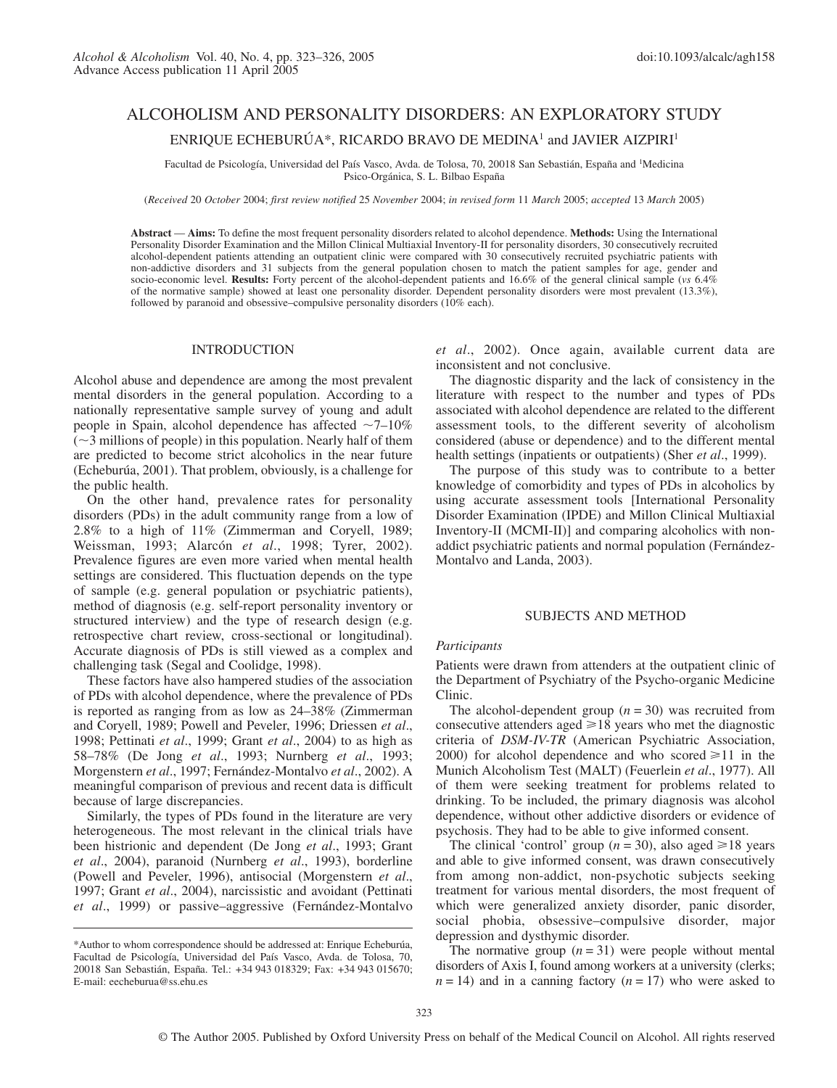# ALCOHOLISM AND PERSONALITY DISORDERS: AN EXPLORATORY STUDY ENRIQUE ECHEBURÚA\*, RICARDO BRAVO DE MEDINA1 and JAVIER AIZPIRI1

Facultad de Psicología, Universidad del País Vasco, Avda. de Tolosa, 70, 20018 San Sebastián, España and <sup>1</sup>Medicina Psico-Orgánica, S. L. Bilbao España

(*Received* 20 *October* 2004; *first review notified* 25 *November* 2004; *in revised form* 11 *March* 2005; *accepted* 13 *March* 2005)

**Abstract** — **Aims:** To define the most frequent personality disorders related to alcohol dependence. **Methods:** Using the International Personality Disorder Examination and the Millon Clinical Multiaxial Inventory-II for personality disorders, 30 consecutively recruited alcohol-dependent patients attending an outpatient clinic were compared with 30 consecutively recruited psychiatric patients with non-addictive disorders and 31 subjects from the general population chosen to match the patient samples for age, gender and socio-economic level. **Results:** Forty percent of the alcohol-dependent patients and 16.6% of the general clinical sample (*vs* 6.4% of the normative sample) showed at least one personality disorder. Dependent personality disorders were most prevalent (13.3%), followed by paranoid and obsessive–compulsive personality disorders (10% each).

#### INTRODUCTION

Alcohol abuse and dependence are among the most prevalent mental disorders in the general population. According to a nationally representative sample survey of young and adult people in Spain, alcohol dependence has affected  $\sim$ 7–10%  $(\sim)$  millions of people) in this population. Nearly half of them are predicted to become strict alcoholics in the near future (Echeburúa, 2001). That problem, obviously, is a challenge for the public health.

On the other hand, prevalence rates for personality disorders (PDs) in the adult community range from a low of 2.8% to a high of 11% (Zimmerman and Coryell, 1989; Weissman, 1993; Alarcón *et al*., 1998; Tyrer, 2002). Prevalence figures are even more varied when mental health settings are considered. This fluctuation depends on the type of sample (e.g. general population or psychiatric patients), method of diagnosis (e.g. self-report personality inventory or structured interview) and the type of research design (e.g. retrospective chart review, cross-sectional or longitudinal). Accurate diagnosis of PDs is still viewed as a complex and challenging task (Segal and Coolidge, 1998).

These factors have also hampered studies of the association of PDs with alcohol dependence, where the prevalence of PDs is reported as ranging from as low as 24–38% (Zimmerman and Coryell, 1989; Powell and Peveler, 1996; Driessen *et al*., 1998; Pettinati *et al*., 1999; Grant *et al*., 2004) to as high as 58–78% (De Jong *et al*., 1993; Nurnberg *et al*., 1993; Morgenstern *et al*., 1997; Fernández-Montalvo *et al*., 2002). A meaningful comparison of previous and recent data is difficult because of large discrepancies.

Similarly, the types of PDs found in the literature are very heterogeneous. The most relevant in the clinical trials have been histrionic and dependent (De Jong *et al*., 1993; Grant *et al*., 2004), paranoid (Nurnberg *et al*., 1993), borderline (Powell and Peveler, 1996), antisocial (Morgenstern *et al*., 1997; Grant *et al*., 2004), narcissistic and avoidant (Pettinati *et al*., 1999) or passive–aggressive (Fernández-Montalvo *et al*., 2002). Once again, available current data are inconsistent and not conclusive.

The diagnostic disparity and the lack of consistency in the literature with respect to the number and types of PDs associated with alcohol dependence are related to the different assessment tools, to the different severity of alcoholism considered (abuse or dependence) and to the different mental health settings (inpatients or outpatients) (Sher *et al*., 1999).

The purpose of this study was to contribute to a better knowledge of comorbidity and types of PDs in alcoholics by using accurate assessment tools [International Personality Disorder Examination (IPDE) and Millon Clinical Multiaxial Inventory-II (MCMI-II)] and comparing alcoholics with nonaddict psychiatric patients and normal population (Fernández-Montalvo and Landa, 2003).

# SUBJECTS AND METHOD

#### *Participants*

Patients were drawn from attenders at the outpatient clinic of the Department of Psychiatry of the Psycho-organic Medicine Clinic.

The alcohol-dependent group  $(n = 30)$  was recruited from consecutive attenders aged  $\geq 18$  years who met the diagnostic criteria of *DSM-IV-TR* (American Psychiatric Association, 2000) for alcohol dependence and who scored  $\geq 11$  in the Munich Alcoholism Test (MALT) (Feuerlein *et al*., 1977). All of them were seeking treatment for problems related to drinking. To be included, the primary diagnosis was alcohol dependence, without other addictive disorders or evidence of psychosis. They had to be able to give informed consent.

The clinical 'control' group ( $n = 30$ ), also aged  $\ge 18$  years and able to give informed consent, was drawn consecutively from among non-addict, non-psychotic subjects seeking treatment for various mental disorders, the most frequent of which were generalized anxiety disorder, panic disorder, social phobia, obsessive–compulsive disorder, major depression and dysthymic disorder.

The normative group  $(n = 31)$  were people without mental disorders of Axis I, found among workers at a university (clerks;  $n = 14$ ) and in a canning factory ( $n = 17$ ) who were asked to

<sup>\*</sup>Author to whom correspondence should be addressed at: Enrique Echeburúa, Facultad de Psicología, Universidad del País Vasco, Avda. de Tolosa, 70, 20018 San Sebastián, España. Tel.: +34 943 018329; Fax: +34 943 015670; E-mail: eecheburua@ss.ehu.es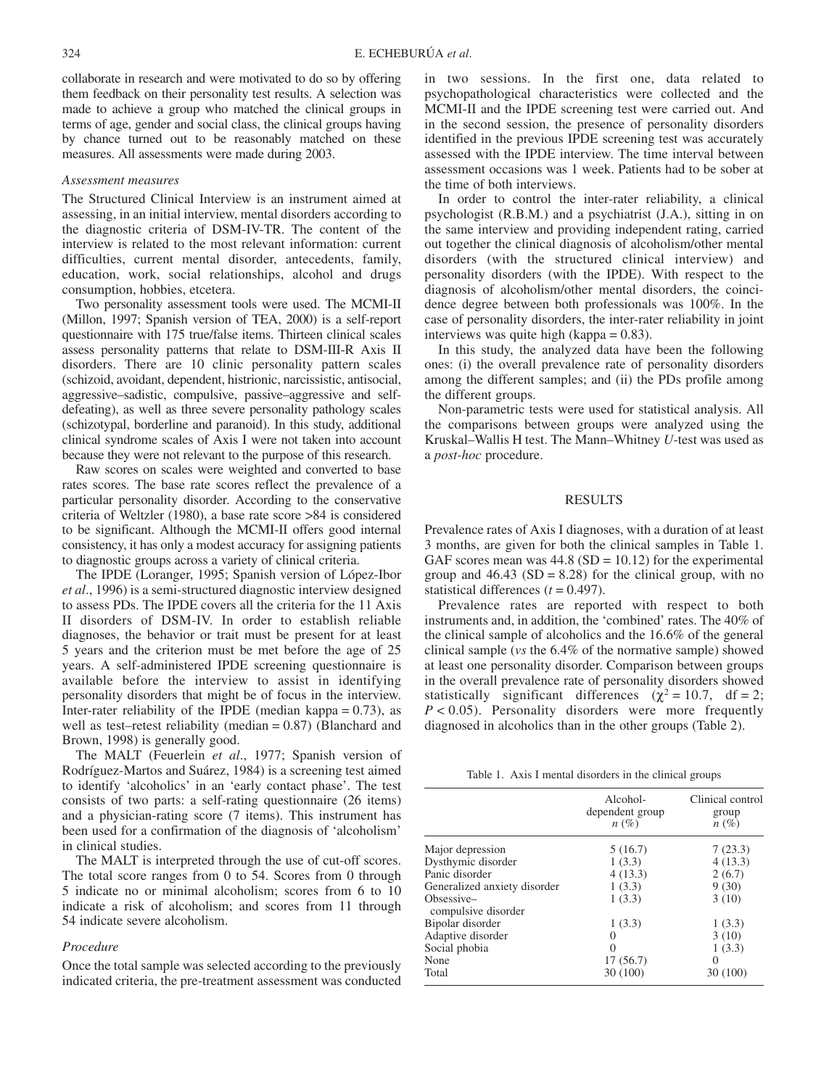collaborate in research and were motivated to do so by offering them feedback on their personality test results. A selection was made to achieve a group who matched the clinical groups in terms of age, gender and social class, the clinical groups having by chance turned out to be reasonably matched on these measures. All assessments were made during 2003.

#### *Assessment measures*

The Structured Clinical Interview is an instrument aimed at assessing, in an initial interview, mental disorders according to the diagnostic criteria of DSM-IV-TR. The content of the interview is related to the most relevant information: current difficulties, current mental disorder, antecedents, family, education, work, social relationships, alcohol and drugs consumption, hobbies, etcetera.

Two personality assessment tools were used. The MCMI-II (Millon, 1997; Spanish version of TEA, 2000) is a self-report questionnaire with 175 true/false items. Thirteen clinical scales assess personality patterns that relate to DSM-III-R Axis II disorders. There are 10 clinic personality pattern scales (schizoid, avoidant, dependent, histrionic, narcissistic, antisocial, aggressive–sadistic, compulsive, passive–aggressive and selfdefeating), as well as three severe personality pathology scales (schizotypal, borderline and paranoid). In this study, additional clinical syndrome scales of Axis I were not taken into account because they were not relevant to the purpose of this research.

Raw scores on scales were weighted and converted to base rates scores. The base rate scores reflect the prevalence of a particular personality disorder. According to the conservative criteria of Weltzler (1980), a base rate score >84 is considered to be significant. Although the MCMI-II offers good internal consistency, it has only a modest accuracy for assigning patients to diagnostic groups across a variety of clinical criteria.

The IPDE (Loranger, 1995; Spanish version of López-Ibor *et al*., 1996) is a semi-structured diagnostic interview designed to assess PDs. The IPDE covers all the criteria for the 11 Axis II disorders of DSM-IV. In order to establish reliable diagnoses, the behavior or trait must be present for at least 5 years and the criterion must be met before the age of 25 years. A self-administered IPDE screening questionnaire is available before the interview to assist in identifying personality disorders that might be of focus in the interview. Inter-rater reliability of the IPDE (median kappa  $= 0.73$ ), as well as test–retest reliability (median = 0.87) (Blanchard and Brown, 1998) is generally good.

The MALT (Feuerlein *et al*., 1977; Spanish version of Rodríguez-Martos and Suárez, 1984) is a screening test aimed to identify 'alcoholics' in an 'early contact phase'. The test consists of two parts: a self-rating questionnaire (26 items) and a physician-rating score (7 items). This instrument has been used for a confirmation of the diagnosis of 'alcoholism' in clinical studies.

The MALT is interpreted through the use of cut-off scores. The total score ranges from 0 to 54. Scores from 0 through 5 indicate no or minimal alcoholism; scores from 6 to 10 indicate a risk of alcoholism; and scores from 11 through 54 indicate severe alcoholism.

# *Procedure*

Once the total sample was selected according to the previously indicated criteria, the pre-treatment assessment was conducted in two sessions. In the first one, data related to psychopathological characteristics were collected and the MCMI-II and the IPDE screening test were carried out. And in the second session, the presence of personality disorders identified in the previous IPDE screening test was accurately assessed with the IPDE interview. The time interval between assessment occasions was 1 week. Patients had to be sober at the time of both interviews.

In order to control the inter-rater reliability, a clinical psychologist (R.B.M.) and a psychiatrist (J.A.), sitting in on the same interview and providing independent rating, carried out together the clinical diagnosis of alcoholism/other mental disorders (with the structured clinical interview) and personality disorders (with the IPDE). With respect to the diagnosis of alcoholism/other mental disorders, the coincidence degree between both professionals was 100%. In the case of personality disorders, the inter-rater reliability in joint interviews was quite high (kappa = 0.83).

In this study, the analyzed data have been the following ones: (i) the overall prevalence rate of personality disorders among the different samples; and (ii) the PDs profile among the different groups.

Non-parametric tests were used for statistical analysis. All the comparisons between groups were analyzed using the Kruskal–Wallis H test. The Mann–Whitney *U*-test was used as a *post-hoc* procedure.

## RESULTS

Prevalence rates of Axis I diagnoses, with a duration of at least 3 months, are given for both the clinical samples in Table 1. GAF scores mean was  $44.8$  (SD = 10.12) for the experimental group and  $46.43$  (SD = 8.28) for the clinical group, with no statistical differences  $(t = 0.497)$ .

Prevalence rates are reported with respect to both instruments and, in addition, the 'combined' rates. The 40% of the clinical sample of alcoholics and the 16.6% of the general clinical sample (*vs* the 6.4% of the normative sample) showed at least one personality disorder. Comparison between groups in the overall prevalence rate of personality disorders showed statistically significant differences ( $\chi^2 = 10.7$ , df = 2; *P* < 0.05). Personality disorders were more frequently diagnosed in alcoholics than in the other groups (Table 2).

Table 1. Axis I mental disorders in the clinical groups

|                                   | Alcohol-<br>dependent group<br>$n(\%)$ | Clinical control<br>group<br>$n(\%)$ |
|-----------------------------------|----------------------------------------|--------------------------------------|
| Major depression                  | 5(16.7)                                | 7(23.3)                              |
| Dysthymic disorder                | 1(3.3)                                 | 4(13.3)                              |
| Panic disorder                    | 4(13.3)                                | 2(6.7)                               |
| Generalized anxiety disorder      | 1(3.3)                                 | 9(30)                                |
| Obsessive-<br>compulsive disorder | 1(3.3)                                 | 3(10)                                |
| Bipolar disorder                  | 1(3.3)                                 | 1(3.3)                               |
| Adaptive disorder                 | 0                                      | 3(10)                                |
| Social phobia                     | $\Omega$                               | 1(3.3)                               |
| None                              | 17(56.7)                               | $\theta$                             |
| Total                             | 30 (100)                               | 30 (100)                             |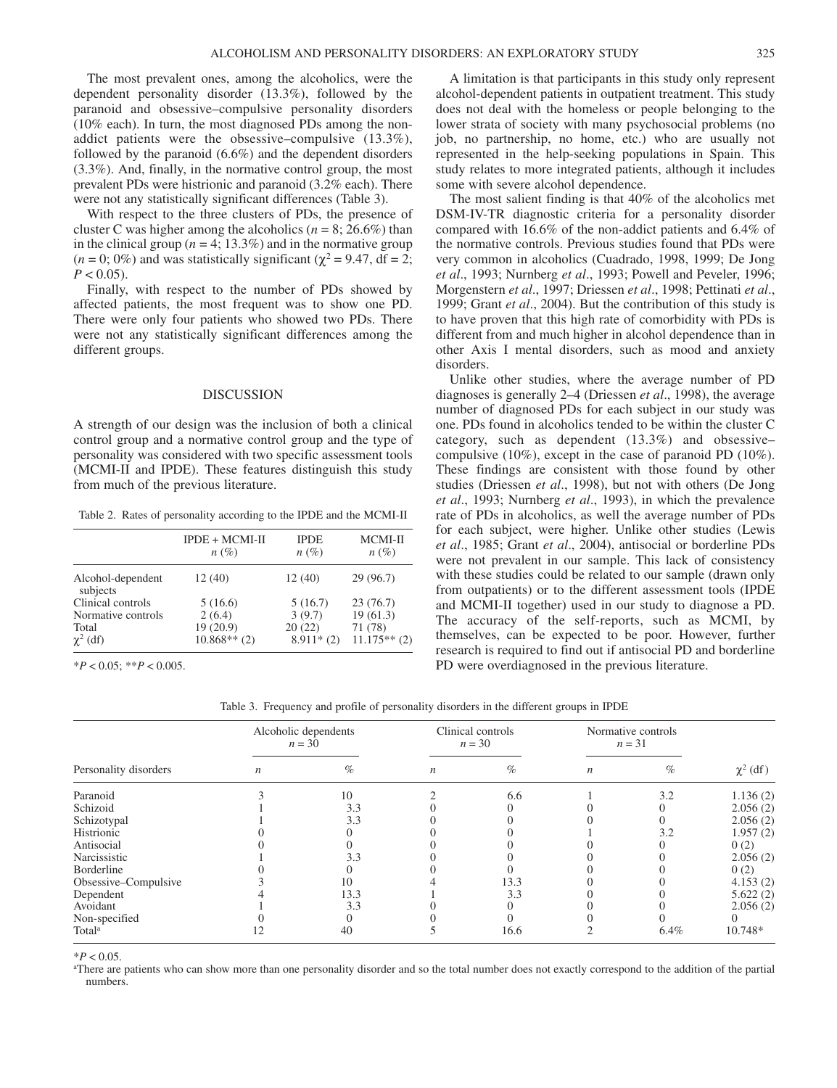The most prevalent ones, among the alcoholics, were the dependent personality disorder (13.3%), followed by the paranoid and obsessive–compulsive personality disorders (10% each). In turn, the most diagnosed PDs among the nonaddict patients were the obsessive–compulsive (13.3%), followed by the paranoid (6.6%) and the dependent disorders (3.3%). And, finally, in the normative control group, the most prevalent PDs were histrionic and paranoid (3.2% each). There were not any statistically significant differences (Table 3).

With respect to the three clusters of PDs, the presence of cluster C was higher among the alcoholics ( $n = 8$ ; 26.6%) than in the clinical group ( $n = 4$ ; 13.3%) and in the normative group  $(n = 0; 0\%)$  and was statistically significant  $(\chi^2 = 9.47, df = 2;$  $P < 0.05$ ).

Finally, with respect to the number of PDs showed by affected patients, the most frequent was to show one PD. There were only four patients who showed two PDs. There were not any statistically significant differences among the different groups.

#### DISCUSSION

A strength of our design was the inclusion of both a clinical control group and a normative control group and the type of personality was considered with two specific assessment tools (MCMI-II and IPDE). These features distinguish this study from much of the previous literature.

Table 2. Rates of personality according to the IPDE and the MCMI-II

|                               | $IPDE + MCMI-II$<br>$n(\%)$ | <b>IPDE</b><br>$n(\%)$ | $MCMI-II$<br>$n(\%)$ |  |
|-------------------------------|-----------------------------|------------------------|----------------------|--|
| Alcohol-dependent<br>subjects | 12(40)                      | 12(40)                 | 29(96.7)             |  |
| Clinical controls             | 5(16.6)                     | 5(16.7)                | 23(76.7)             |  |
| Normative controls            | 2(6.4)                      | 3(9.7)                 | 19(61.3)             |  |
| Total                         | 19 (20.9)                   | 20(22)                 | 71 (78)              |  |
| $\chi^2$ (df)                 | $10.868**$ (2)              | $8.911*(2)$            | $11.175**$ (2)       |  |

\**P* < 0.05; \*\**P* < 0.005.

A limitation is that participants in this study only represent alcohol-dependent patients in outpatient treatment. This study does not deal with the homeless or people belonging to the lower strata of society with many psychosocial problems (no job, no partnership, no home, etc.) who are usually not represented in the help-seeking populations in Spain. This study relates to more integrated patients, although it includes some with severe alcohol dependence.

The most salient finding is that 40% of the alcoholics met DSM-IV-TR diagnostic criteria for a personality disorder compared with 16.6% of the non-addict patients and 6.4% of the normative controls. Previous studies found that PDs were very common in alcoholics (Cuadrado, 1998, 1999; De Jong *et al*., 1993; Nurnberg *et al*., 1993; Powell and Peveler, 1996; Morgenstern *et al*., 1997; Driessen *et al*., 1998; Pettinati *et al*., 1999; Grant *et al*., 2004). But the contribution of this study is to have proven that this high rate of comorbidity with PDs is different from and much higher in alcohol dependence than in other Axis I mental disorders, such as mood and anxiety disorders.

Unlike other studies, where the average number of PD diagnoses is generally 2–4 (Driessen *et al*., 1998), the average number of diagnosed PDs for each subject in our study was one. PDs found in alcoholics tended to be within the cluster C category, such as dependent (13.3%) and obsessive– compulsive (10%), except in the case of paranoid PD (10%). These findings are consistent with those found by other studies (Driessen *et al*., 1998), but not with others (De Jong *et al*., 1993; Nurnberg *et al*., 1993), in which the prevalence rate of PDs in alcoholics, as well the average number of PDs for each subject, were higher. Unlike other studies (Lewis *et al*., 1985; Grant *et al*., 2004), antisocial or borderline PDs were not prevalent in our sample. This lack of consistency with these studies could be related to our sample (drawn only from outpatients) or to the different assessment tools (IPDE and MCMI-II together) used in our study to diagnose a PD. The accuracy of the self-reports, such as MCMI, by themselves, can be expected to be poor. However, further research is required to find out if antisocial PD and borderline PD were overdiagnosed in the previous literature.

Table 3. Frequency and profile of personality disorders in the different groups in IPDE

| Personality disorders | Alcoholic dependents<br>$n = 30$ |      | Clinical controls<br>$n = 30$ |      | Normative controls<br>$n = 31$ |      |               |
|-----------------------|----------------------------------|------|-------------------------------|------|--------------------------------|------|---------------|
|                       | $\boldsymbol{n}$                 | $\%$ | $\boldsymbol{n}$              | $\%$ | $\boldsymbol{n}$               | $\%$ | $\chi^2$ (df) |
| Paranoid              |                                  | 10   |                               | 6.6  |                                | 3.2  | 1.136(2)      |
| Schizoid              |                                  | 3.3  |                               |      |                                |      | 2.056(2)      |
| Schizotypal           |                                  | 3.3  |                               |      |                                |      | 2.056(2)      |
| Histrionic            |                                  |      |                               |      |                                | 3.2  | 1.957(2)      |
| Antisocial            |                                  |      |                               |      |                                |      | 0(2)          |
| Narcissistic          |                                  | 3.3  |                               |      |                                |      | 2.056(2)      |
| Borderline            |                                  |      |                               |      |                                |      | 0(2)          |
| Obsessive-Compulsive  |                                  | 10   |                               | 13.3 |                                |      | 4.153(2)      |
| Dependent             |                                  | 13.3 |                               | 3.3  |                                |      | 5.622(2)      |
| Avoidant              |                                  | 3.3  |                               |      |                                |      | 2.056(2)      |
| Non-specified         |                                  |      |                               |      |                                |      |               |
| Total <sup>a</sup>    |                                  | 40   |                               | 16.6 |                                | 6.4% | 10.748*       |

 $*P < 0.05$ .

<sup>a</sup>There are patients who can show more than one personality disorder and so the total number does not exactly correspond to the addition of the partial numbers.